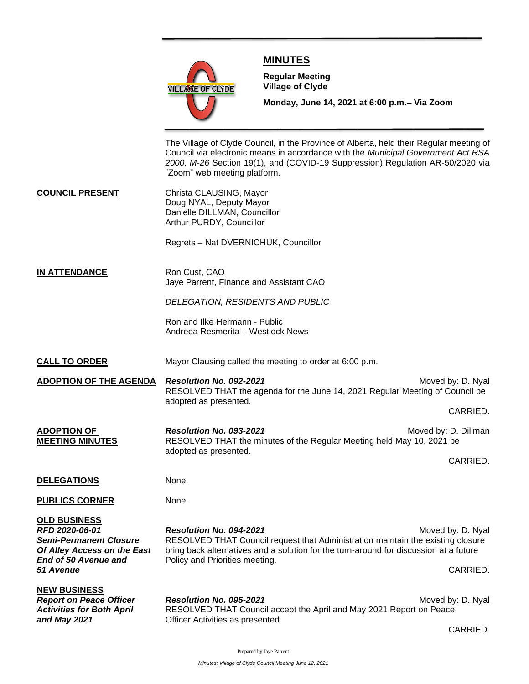

## **MINUTES**

**Meeting**

**Regular Meeting Village of Clyde**

**Monday, June 14, 2021 at 6:00 p.m.– Via Zoom** 

The Village of Clyde Council, in the Province of Alberta, held their Regular meeting of Council via electronic means in accordance with the *Municipal Government Act RSA 2000, M-26* Section 19(1), and (COVID-19 Suppression) Regulation AR-50/2020 via "Zoom" web meeting platform.

**COUNCIL PRESENT** Christa CLAUSING, Mayor Doug NYAL, Deputy Mayor Danielle DILLMAN, Councillor Arthur PURDY, Councillor

Regrets – Nat DVERNICHUK, Councillor

**IN ATTENDANCE** Ron Cust, CAO Jaye Parrent, Finance and Assistant CAO

*DELEGATION, RESIDENTS AND PUBLIC*

Ron and Ilke Hermann - Public Andreea Resmerita – Westlock News

**CALL TO ORDER** Mayor Clausing called the meeting to order at 6:00 p.m.

**ADOPTION OF THE AGENDA** *Resolution No. 092-2021* Moved by: D. Nyal RESOLVED THAT the agenda for the June 14, 2021 Regular Meeting of Council be adopted as presented.

CARRIED.

**ADOPTION OF** *Resolution No. 093-2021 Resolution No. 093-2021 Resolution No. 093-2021**Moved by: D. Dillman* **MEETING MINUTES** RESOLVED THAT the minutes of the Regular Meeting held May 10, 2021 be adopted as presented. CARRIED.

**DELEGATIONS** None.

**PUBLICS CORNER** None.

**OLD BUSINESS** *End of 50 Avenue and* Policy and Priorities meeting.

*RFD 2020-06-01 Resolution No. 094-2021* Moved by: D. Nyal **Semi-Permanent Closure** RESOLVED THAT Council request that Administration maintain the existing closure *Of Alley Access on the East* bring back alternatives and a solution for the turn-around for discussion at a future *51 Avenue* CARRIED.

**NEW BUSINESS**

**Report on Peace Officer** *Resolution No. 095-2021* **Moved by: D. Nyal Agency Resolution No. 095-2021** Moved by: D. Nyal *Activities for Both April* RESOLVED THAT Council accept the April and May 2021 Report on Peace *and May 2021* Officer Activities as presented.

CARRIED.

Prepared by Jaye Parrent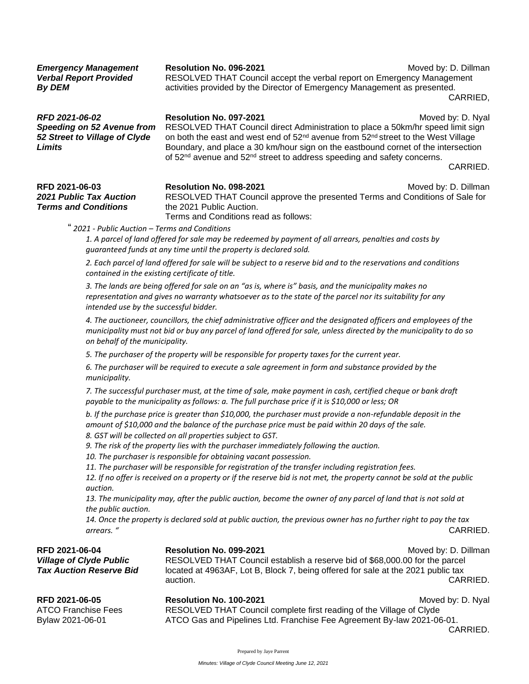**Emergency Management Resolution No. 096-2021 Moved by: D. Dillman** *Verbal Report Provided* RESOLVED THAT Council accept the verbal report on Emergency Management **By DEM** activities provided by the Director of Emergency Management as presented. CARRIED,

**RFD 2021-06-02 Resolution No. 097-2021 Resolution No. 097-2021** Moved by: D. Nyal *Speeding on 52 Avenue from* RESOLVED THAT Council direct Administration to place a 50km/hr speed limit sign 52 Street to Village of Clyde on both the east and west end of 52<sup>nd</sup> avenue from 52<sup>nd</sup> street to the West Village **Limits** Boundary, and place a 30 km/hour sign on the eastbound cornet of the intersection of 52<sup>nd</sup> avenue and 52<sup>nd</sup> street to address speeding and safety concerns.

CARRIED.

*Terms and Conditions* the 2021 Public Auction.

**RFD 2021-06-03 Resolution No. 098-2021 RED 2021** Moved by: D. Dillman *2021 Public Tax Auction* RESOLVED THAT Council approve the presented Terms and Conditions of Sale for

Terms and Conditions read as follows:

" *2021 - Public Auction – Terms and Conditions* 

*1. A parcel of land offered for sale may be redeemed by payment of all arrears, penalties and costs by guaranteed funds at any time until the property is declared sold.* 

*2. Each parcel of land offered for sale will be subject to a reserve bid and to the reservations and conditions contained in the existing certificate of title.* 

*3. The lands are being offered for sale on an "as is, where is" basis, and the municipality makes no representation and gives no warranty whatsoever as to the state of the parcel nor its suitability for any intended use by the successful bidder.* 

*4. The auctioneer, councillors, the chief administrative officer and the designated officers and employees of the municipality must not bid or buy any parcel of land offered for sale, unless directed by the municipality to do so on behalf of the municipality.* 

*5. The purchaser of the property will be responsible for property taxes for the current year.* 

*6. The purchaser will be required to execute a sale agreement in form and substance provided by the municipality.* 

*7. The successful purchaser must, at the time of sale, make payment in cash, certified cheque or bank draft payable to the municipality as follows: a. The full purchase price if it is \$10,000 or less; OR* 

*b. If the purchase price is greater than \$10,000, the purchaser must provide a non-refundable deposit in the amount of \$10,000 and the balance of the purchase price must be paid within 20 days of the sale. 8. GST will be collected on all properties subject to GST.* 

*9. The risk of the property lies with the purchaser immediately following the auction.* 

*10. The purchaser is responsible for obtaining vacant possession.* 

*11. The purchaser will be responsible for registration of the transfer including registration fees.* 

*12. If no offer is received on a property or if the reserve bid is not met, the property cannot be sold at the public auction.* 

*13. The municipality may, after the public auction, become the owner of any parcel of land that is not sold at the public auction.* 

*14. Once the property is declared sold at public auction, the previous owner has no further right to pay the tax arrears. "* CARRIED.

**RFD 2021-06-04 Resolution No. 099-2021 Resolution No. 099-2021** Moved by: D. Dillman *Village of Clyde Public* RESOLVED THAT Council establish a reserve bid of \$68,000.00 for the parcel **Tax Auction Reserve Bid** located at 4963AF, Lot B, Block 7, being offered for sale at the 2021 public tax auction. CARRIED. **RFD 2021-06-05 Resolution No. 100-2021** Moved by: D. Nyal ATCO Franchise Fees RESOLVED THAT Council complete first reading of the Village of Clyde Bylaw 2021-06-01 ATCO Gas and Pipelines Ltd. Franchise Fee Agreement By-law 2021-06-01.

CARRIED.

Prepared by Jaye Parrent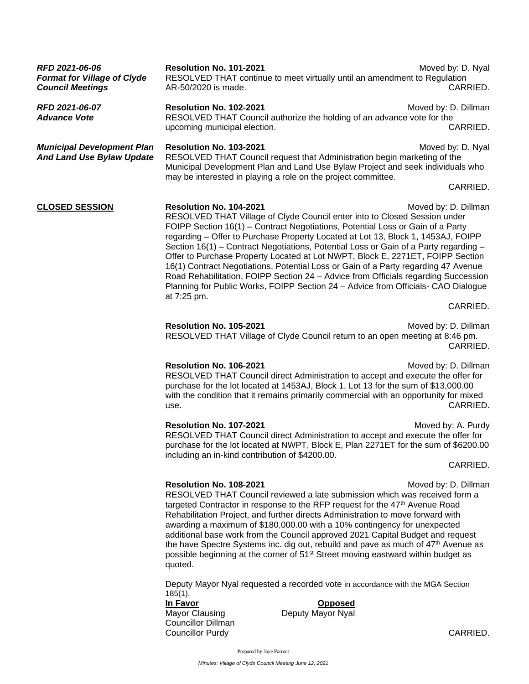| RFD 2021-06-06<br><b>Format for Village of Clyde</b><br><b>Council Meetings</b> | <b>Resolution No. 101-2021</b><br>RESOLVED THAT continue to meet virtually until an amendment to Regulation<br>AR-50/2020 is made.                                                                                                                                                                                                                                                                                                                                                                                                                                                                                                                                                                                                   | Moved by: D. Nyal<br>CARRIED.    |
|---------------------------------------------------------------------------------|--------------------------------------------------------------------------------------------------------------------------------------------------------------------------------------------------------------------------------------------------------------------------------------------------------------------------------------------------------------------------------------------------------------------------------------------------------------------------------------------------------------------------------------------------------------------------------------------------------------------------------------------------------------------------------------------------------------------------------------|----------------------------------|
| RFD 2021-06-07<br><b>Advance Vote</b>                                           | Resolution No. 102-2021<br>RESOLVED THAT Council authorize the holding of an advance vote for the<br>upcoming municipal election.                                                                                                                                                                                                                                                                                                                                                                                                                                                                                                                                                                                                    | Moved by: D. Dillman<br>CARRIED. |
| <b>Municipal Development Plan</b><br><b>And Land Use Bylaw Update</b>           | Resolution No. 103-2021<br>RESOLVED THAT Council request that Administration begin marketing of the<br>Municipal Development Plan and Land Use Bylaw Project and seek individuals who<br>may be interested in playing a role on the project committee.                                                                                                                                                                                                                                                                                                                                                                                                                                                                               | Moved by: D. Nyal                |
|                                                                                 |                                                                                                                                                                                                                                                                                                                                                                                                                                                                                                                                                                                                                                                                                                                                      | CARRIED.                         |
| <b>CLOSED SESSION</b>                                                           | Resolution No. 104-2021<br>RESOLVED THAT Village of Clyde Council enter into to Closed Session under<br>FOIPP Section 16(1) – Contract Negotiations, Potential Loss or Gain of a Party<br>regarding - Offer to Purchase Property Located at Lot 13, Block 1, 1453AJ, FOIPP<br>Section 16(1) – Contract Negotiations, Potential Loss or Gain of a Party regarding –<br>Offer to Purchase Property Located at Lot NWPT, Block E, 2271ET, FOIPP Section<br>16(1) Contract Negotiations, Potential Loss or Gain of a Party regarding 47 Avenue<br>Road Rehabilitation, FOIPP Section 24 - Advice from Officials regarding Succession<br>Planning for Public Works, FOIPP Section 24 - Advice from Officials- CAO Dialogue<br>at 7:25 pm. | Moved by: D. Dillman<br>CARRIED. |
|                                                                                 |                                                                                                                                                                                                                                                                                                                                                                                                                                                                                                                                                                                                                                                                                                                                      |                                  |
|                                                                                 | <b>Resolution No. 105-2021</b><br>RESOLVED THAT Village of Clyde Council return to an open meeting at 8:46 pm.                                                                                                                                                                                                                                                                                                                                                                                                                                                                                                                                                                                                                       | Moved by: D. Dillman<br>CARRIED. |
|                                                                                 | Resolution No. 106-2021<br>RESOLVED THAT Council direct Administration to accept and execute the offer for<br>purchase for the lot located at 1453AJ, Block 1, Lot 13 for the sum of \$13,000.00<br>with the condition that it remains primarily commercial with an opportunity for mixed<br>use.                                                                                                                                                                                                                                                                                                                                                                                                                                    | Moved by: D. Dillman<br>CARRIED. |
|                                                                                 | Resolution No. 107-2021<br>RESOLVED THAT Council direct Administration to accept and execute the offer for<br>purchase for the lot located at NWPT, Block E, Plan 2271ET for the sum of \$6200.00<br>including an in-kind contribution of \$4200.00.                                                                                                                                                                                                                                                                                                                                                                                                                                                                                 | Moved by: A. Purdy<br>CARRIED.   |
|                                                                                 | Resolution No. 108-2021<br>RESOLVED THAT Council reviewed a late submission which was received form a<br>targeted Contractor in response to the RFP request for the 47th Avenue Road<br>Rehabilitation Project, and further directs Administration to move forward with<br>awarding a maximum of \$180,000.00 with a 10% contingency for unexpected<br>additional base work from the Council approved 2021 Capital Budget and request<br>the have Spectre Systems inc. dig out, rebuild and pave as much of 47th Avenue as<br>possible beginning at the corner of 51 <sup>st</sup> Street moving eastward within budget as<br>quoted.                                                                                                | Moved by: D. Dillman             |
|                                                                                 | Deputy Mayor Nyal requested a recorded vote in accordance with the MGA Section<br>$185(1)$ .<br>In Favor                                                                                                                                                                                                                                                                                                                                                                                                                                                                                                                                                                                                                             |                                  |
|                                                                                 | <b>Opposed</b><br><b>Mayor Clausing</b><br>Deputy Mayor Nyal                                                                                                                                                                                                                                                                                                                                                                                                                                                                                                                                                                                                                                                                         |                                  |
|                                                                                 | <b>Councillor Dillman</b><br><b>Councillor Purdy</b>                                                                                                                                                                                                                                                                                                                                                                                                                                                                                                                                                                                                                                                                                 | CARRIED.                         |

Prepared by Jaye Parrent